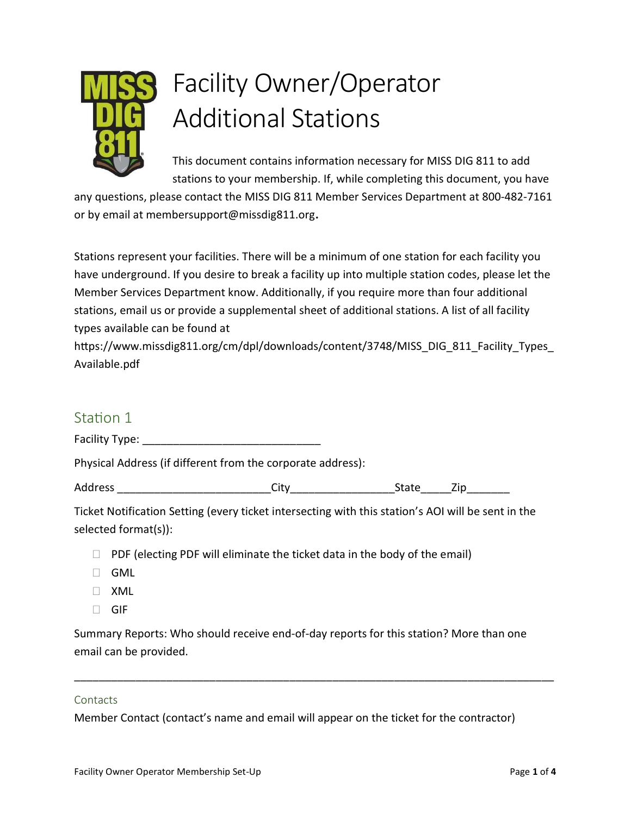

# Facility Owner/Operator Additional Stations

This document contains information necessary for MISS DIG 811 to add stations to your membership. If, while completing this document, you have

any questions, please contact the MISS DIG 811 Member Services Department at 800-482-7161 or by email at membersupport@missdig811.org.

Stations represent your facilities. There will be a minimum of one station for each facility you have underground. If you desire to break a facility up into multiple station codes, please let the Member Services Department know. Additionally, if you require more than four additional stations, email us or provide a supplemental sheet of additional stations. A list of all facility types available can be found at

https://www.missdig811.org/cm/dpl/downloads/content/3748/MISS\_DIG\_811\_Facility\_Types Available.pdf

## Station 1

Facility Type: \_\_\_\_\_\_\_\_\_\_\_\_\_\_\_\_\_\_\_\_\_\_\_\_\_\_\_\_\_

Physical Address (if different from the corporate address):

| Ado |  | -<br>.<br> |  |
|-----|--|------------|--|
|-----|--|------------|--|

Ticket Notification Setting (every ticket intersecting with this station's AOI will be sent in the selected format(s)):

- $\Box$  PDF (electing PDF will eliminate the ticket data in the body of the email)
- **GML**
- XML
- □ GIF

Summary Reports: Who should receive end-of-day reports for this station? More than one email can be provided.

\_\_\_\_\_\_\_\_\_\_\_\_\_\_\_\_\_\_\_\_\_\_\_\_\_\_\_\_\_\_\_\_\_\_\_\_\_\_\_\_\_\_\_\_\_\_\_\_\_\_\_\_\_\_\_\_\_\_\_\_\_\_\_\_\_\_\_\_\_\_\_\_\_\_\_\_\_\_

#### Contacts

Member Contact (contact's name and email will appear on the ticket for the contractor)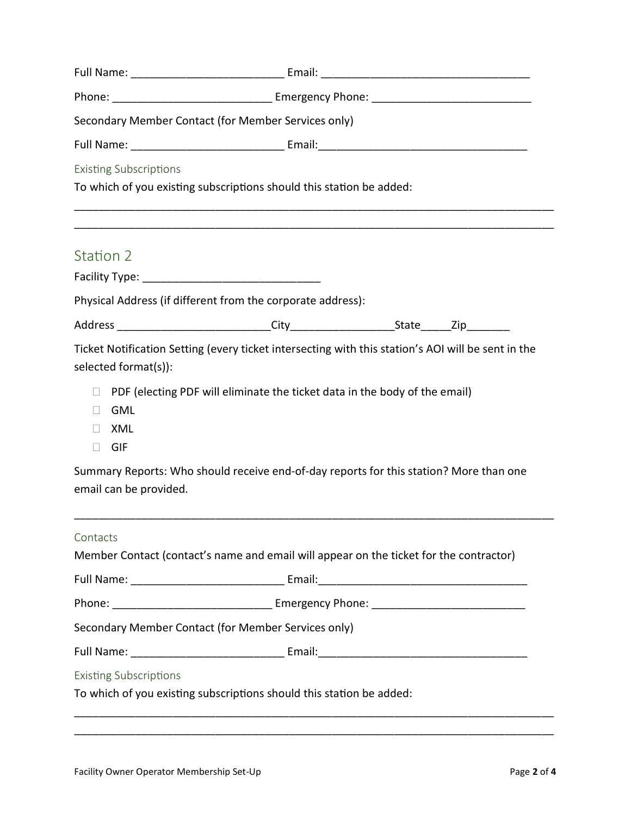| Secondary Member Contact (for Member Services only)    |                                                                                                    |  |  |  |
|--------------------------------------------------------|----------------------------------------------------------------------------------------------------|--|--|--|
|                                                        |                                                                                                    |  |  |  |
| <b>Existing Subscriptions</b>                          |                                                                                                    |  |  |  |
|                                                        | To which of you existing subscriptions should this station be added:                               |  |  |  |
| Station 2                                              |                                                                                                    |  |  |  |
|                                                        |                                                                                                    |  |  |  |
|                                                        | Physical Address (if different from the corporate address):                                        |  |  |  |
|                                                        |                                                                                                    |  |  |  |
| selected format(s)):                                   | Ticket Notification Setting (every ticket intersecting with this station's AOI will be sent in the |  |  |  |
| <b>GML</b><br>$\Box$<br>XML<br>$\Box$<br>GIF<br>$\Box$ | □ PDF (electing PDF will eliminate the ticket data in the body of the email)                       |  |  |  |
| email can be provided.                                 | Summary Reports: Who should receive end-of-day reports for this station? More than one             |  |  |  |
| Contacts                                               | Member Contact (contact's name and email will appear on the ticket for the contractor)             |  |  |  |
|                                                        |                                                                                                    |  |  |  |
|                                                        |                                                                                                    |  |  |  |
|                                                        | Secondary Member Contact (for Member Services only)                                                |  |  |  |
|                                                        |                                                                                                    |  |  |  |
| <b>Existing Subscriptions</b>                          | To which of you existing subscriptions should this station be added:                               |  |  |  |
|                                                        |                                                                                                    |  |  |  |

\_\_\_\_\_\_\_\_\_\_\_\_\_\_\_\_\_\_\_\_\_\_\_\_\_\_\_\_\_\_\_\_\_\_\_\_\_\_\_\_\_\_\_\_\_\_\_\_\_\_\_\_\_\_\_\_\_\_\_\_\_\_\_\_\_\_\_\_\_\_\_\_\_\_\_\_\_\_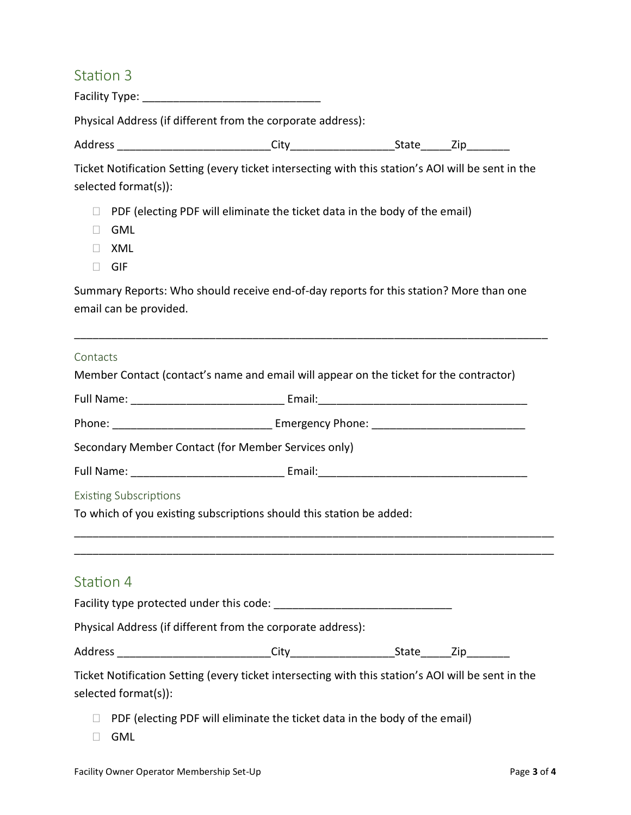## Station 3

Facility Type: \_\_\_\_\_\_\_\_\_\_\_\_\_\_\_\_\_\_\_\_\_\_\_\_\_\_\_\_\_

Physical Address (if different from the corporate address):

| Address | - - | <br>. |
|---------|-----|-------|
|         |     |       |

Ticket Notification Setting (every ticket intersecting with this station's AOI will be sent in the selected format(s)):

- $\Box$  PDF (electing PDF will eliminate the ticket data in the body of the email)
- GML
- XML
- □ GIF

Summary Reports: Who should receive end-of-day reports for this station? More than one email can be provided.

\_\_\_\_\_\_\_\_\_\_\_\_\_\_\_\_\_\_\_\_\_\_\_\_\_\_\_\_\_\_\_\_\_\_\_\_\_\_\_\_\_\_\_\_\_\_\_\_\_\_\_\_\_\_\_\_\_\_\_\_\_\_\_\_\_\_\_\_\_\_\_\_\_\_\_\_\_

### Contacts

| Member Contact (contact's name and email will appear on the ticket for the contractor)                                     |                                                                                   |  |  |
|----------------------------------------------------------------------------------------------------------------------------|-----------------------------------------------------------------------------------|--|--|
|                                                                                                                            |                                                                                   |  |  |
|                                                                                                                            |                                                                                   |  |  |
| Secondary Member Contact (for Member Services only)                                                                        |                                                                                   |  |  |
|                                                                                                                            |                                                                                   |  |  |
| <b>Existing Subscriptions</b>                                                                                              |                                                                                   |  |  |
| To which of you existing subscriptions should this station be added:                                                       |                                                                                   |  |  |
|                                                                                                                            |                                                                                   |  |  |
| Station 4                                                                                                                  |                                                                                   |  |  |
|                                                                                                                            |                                                                                   |  |  |
| Physical Address (if different from the corporate address):                                                                |                                                                                   |  |  |
|                                                                                                                            |                                                                                   |  |  |
| Ticket Notification Setting (every ticket intersecting with this station's AOI will be sent in the<br>selected format(s)): |                                                                                   |  |  |
|                                                                                                                            | $\Box$ PDF (electing PDF will eliminate the ticket data in the body of the email) |  |  |

GML